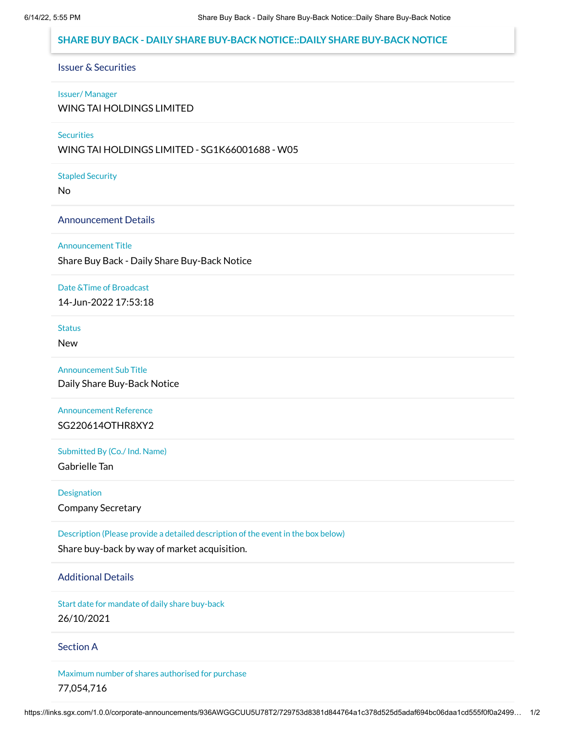# **SHARE BUY BACK - DAILY SHARE BUY-BACK NOTICE::DAILY SHARE BUY-BACK NOTICE**

# Issuer & Securities

#### Issuer/ Manager

WING TAI HOLDINGS LIMITED

## **Securities**

WING TAI HOLDINGS LIMITED - SG1K66001688 - W05

#### Stapled Security

No

## Announcement Details

#### Announcement Title

Share Buy Back - Daily Share Buy-Back Notice

#### Date &Time of Broadcast

14-Jun-2022 17:53:18

# **Status**

New

## Announcement Sub Title

Daily Share Buy-Back Notice

# Announcement Reference SG220614OTHR8XY2

# Submitted By (Co./ Ind. Name)

Gabrielle Tan

## **Designation**

Company Secretary

# Description (Please provide a detailed description of the event in the box below)

Share buy-back by way of market acquisition.

## Additional Details

Start date for mandate of daily share buy-back 26/10/2021

#### Section A

Maximum number of shares authorised for purchase 77,054,716